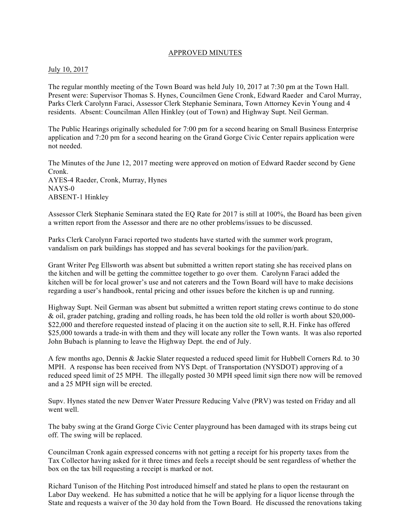## APPROVED MINUTES

#### July 10, 2017

The regular monthly meeting of the Town Board was held July 10, 2017 at 7:30 pm at the Town Hall. Present were: Supervisor Thomas S. Hynes, Councilmen Gene Cronk, Edward Raeder and Carol Murray, Parks Clerk Carolynn Faraci, Assessor Clerk Stephanie Seminara, Town Attorney Kevin Young and 4 residents. Absent: Councilman Allen Hinkley (out of Town) and Highway Supt. Neil German.

The Public Hearings originally scheduled for 7:00 pm for a second hearing on Small Business Enterprise application and 7:20 pm for a second hearing on the Grand Gorge Civic Center repairs application were not needed.

The Minutes of the June 12, 2017 meeting were approved on motion of Edward Raeder second by Gene Cronk. AYES-4 Raeder, Cronk, Murray, Hynes NAYS-0 ABSENT-1 Hinkley

Assessor Clerk Stephanie Seminara stated the EQ Rate for 2017 is still at 100%, the Board has been given a written report from the Assessor and there are no other problems/issues to be discussed.

Parks Clerk Carolynn Faraci reported two students have started with the summer work program, vandalism on park buildings has stopped and has several bookings for the pavilion/park.

Grant Writer Peg Ellsworth was absent but submitted a written report stating she has received plans on the kitchen and will be getting the committee together to go over them. Carolynn Faraci added the kitchen will be for local grower's use and not caterers and the Town Board will have to make decisions regarding a user's handbook, rental pricing and other issues before the kitchen is up and running.

Highway Supt. Neil German was absent but submitted a written report stating crews continue to do stone & oil, grader patching, grading and rolling roads, he has been told the old roller is worth about \$20,000- \$22,000 and therefore requested instead of placing it on the auction site to sell, R.H. Finke has offered \$25,000 towards a trade-in with them and they will locate any roller the Town wants. It was also reported John Bubach is planning to leave the Highway Dept. the end of July.

A few months ago, Dennis & Jackie Slater requested a reduced speed limit for Hubbell Corners Rd. to 30 MPH. A response has been received from NYS Dept. of Transportation (NYSDOT) approving of a reduced speed limit of 25 MPH. The illegally posted 30 MPH speed limit sign there now will be removed and a 25 MPH sign will be erected.

Supv. Hynes stated the new Denver Water Pressure Reducing Valve (PRV) was tested on Friday and all went well.

The baby swing at the Grand Gorge Civic Center playground has been damaged with its straps being cut off. The swing will be replaced.

Councilman Cronk again expressed concerns with not getting a receipt for his property taxes from the Tax Collector having asked for it three times and feels a receipt should be sent regardless of whether the box on the tax bill requesting a receipt is marked or not.

Richard Tunison of the Hitching Post introduced himself and stated he plans to open the restaurant on Labor Day weekend. He has submitted a notice that he will be applying for a liquor license through the State and requests a waiver of the 30 day hold from the Town Board. He discussed the renovations taking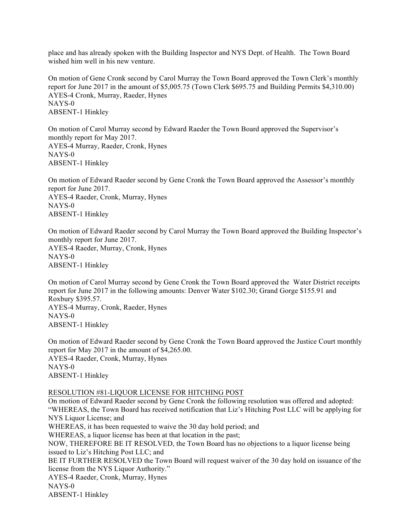place and has already spoken with the Building Inspector and NYS Dept. of Health. The Town Board wished him well in his new venture.

On motion of Gene Cronk second by Carol Murray the Town Board approved the Town Clerk's monthly report for June 2017 in the amount of \$5,005.75 (Town Clerk \$695.75 and Building Permits \$4,310.00) AYES-4 Cronk, Murray, Raeder, Hynes NAYS-0 ABSENT-1 Hinkley

On motion of Carol Murray second by Edward Raeder the Town Board approved the Supervisor's monthly report for May 2017. AYES-4 Murray, Raeder, Cronk, Hynes NAYS-0 ABSENT-1 Hinkley

On motion of Edward Raeder second by Gene Cronk the Town Board approved the Assessor's monthly report for June 2017. AYES-4 Raeder, Cronk, Murray, Hynes NAYS-0 ABSENT-1 Hinkley

On motion of Edward Raeder second by Carol Murray the Town Board approved the Building Inspector's monthly report for June 2017. AYES-4 Raeder, Murray, Cronk, Hynes NAYS-0 ABSENT-1 Hinkley

On motion of Carol Murray second by Gene Cronk the Town Board approved the Water District receipts report for June 2017 in the following amounts: Denver Water \$102.30; Grand Gorge \$155.91 and Roxbury \$395.57. AYES-4 Murray, Cronk, Raeder, Hynes NAYS-0 ABSENT-1 Hinkley

On motion of Edward Raeder second by Gene Cronk the Town Board approved the Justice Court monthly report for May 2017 in the amount of \$4,265.00. AYES-4 Raeder, Cronk, Murray, Hynes NAYS-0 ABSENT-1 Hinkley

#### RESOLUTION #81-LIQUOR LICENSE FOR HITCHING POST

On motion of Edward Raeder second by Gene Cronk the following resolution was offered and adopted: "WHEREAS, the Town Board has received notification that Liz's Hitching Post LLC will be applying for NYS Liquor License; and WHEREAS, it has been requested to waive the 30 day hold period; and WHEREAS, a liquor license has been at that location in the past; NOW, THEREFORE BE IT RESOLVED, the Town Board has no objections to a liquor license being issued to Liz's Hitching Post LLC; and BE IT FURTHER RESOLVED the Town Board will request waiver of the 30 day hold on issuance of the license from the NYS Liquor Authority." AYES-4 Raeder, Cronk, Murray, Hynes NAYS-0 ABSENT-1 Hinkley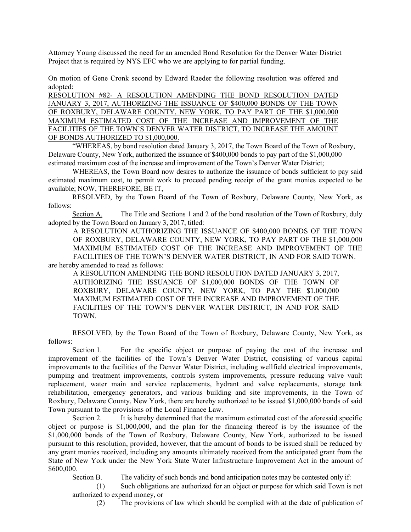Attorney Young discussed the need for an amended Bond Resolution for the Denver Water District Project that is required by NYS EFC who we are applying to for partial funding.

On motion of Gene Cronk second by Edward Raeder the following resolution was offered and adopted:

RESOLUTION #82- A RESOLUTION AMENDING THE BOND RESOLUTION DATED JANUARY 3, 2017, AUTHORIZING THE ISSUANCE OF \$400,000 BONDS OF THE TOWN OF ROXBURY, DELAWARE COUNTY, NEW YORK, TO PAY PART OF THE \$1,000,000 MAXIMUM ESTIMATED COST OF THE INCREASE AND IMPROVEMENT OF THE FACILITIES OF THE TOWN'S DENVER WATER DISTRICT, TO INCREASE THE AMOUNT OF BONDS AUTHORIZED TO \$1,000,000.

"WHEREAS, by bond resolution dated January 3, 2017, the Town Board of the Town of Roxbury, Delaware County, New York, authorized the issuance of \$400,000 bonds to pay part of the \$1,000,000 estimated maximum cost of the increase and improvement of the Town's Denver Water District;

WHEREAS, the Town Board now desires to authorize the issuance of bonds sufficient to pay said estimated maximum cost, to permit work to proceed pending receipt of the grant monies expected to be available; NOW, THEREFORE, BE IT,

RESOLVED, by the Town Board of the Town of Roxbury, Delaware County, New York, as follows:

Section A. The Title and Sections 1 and 2 of the bond resolution of the Town of Roxbury, duly adopted by the Town Board on January 3, 2017, titled:

A RESOLUTION AUTHORIZING THE ISSUANCE OF \$400,000 BONDS OF THE TOWN OF ROXBURY, DELAWARE COUNTY, NEW YORK, TO PAY PART OF THE \$1,000,000 MAXIMUM ESTIMATED COST OF THE INCREASE AND IMPROVEMENT OF THE FACILITIES OF THE TOWN'S DENVER WATER DISTRICT, IN AND FOR SAID TOWN. are hereby amended to read as follows:

A RESOLUTION AMENDING THE BOND RESOLUTION DATED JANUARY 3, 2017, AUTHORIZING THE ISSUANCE OF \$1,000,000 BONDS OF THE TOWN OF ROXBURY, DELAWARE COUNTY, NEW YORK, TO PAY THE \$1,000,000 MAXIMUM ESTIMATED COST OF THE INCREASE AND IMPROVEMENT OF THE FACILITIES OF THE TOWN'S DENVER WATER DISTRICT, IN AND FOR SAID TOWN.

RESOLVED, by the Town Board of the Town of Roxbury, Delaware County, New York, as follows:

Section 1. For the specific object or purpose of paying the cost of the increase and improvement of the facilities of the Town's Denver Water District, consisting of various capital improvements to the facilities of the Denver Water District, including wellfield electrical improvements, pumping and treatment improvements, controls system improvements, pressure reducing valve vault replacement, water main and service replacements, hydrant and valve replacements, storage tank rehabilitation, emergency generators, and various building and site improvements, in the Town of Roxbury, Delaware County, New York, there are hereby authorized to be issued \$1,000,000 bonds of said Town pursuant to the provisions of the Local Finance Law.

Section 2. It is hereby determined that the maximum estimated cost of the aforesaid specific object or purpose is \$1,000,000, and the plan for the financing thereof is by the issuance of the \$1,000,000 bonds of the Town of Roxbury, Delaware County, New York, authorized to be issued pursuant to this resolution, provided, however, that the amount of bonds to be issued shall be reduced by any grant monies received, including any amounts ultimately received from the anticipated grant from the State of New York under the New York State Water Infrastructure Improvement Act in the amount of \$600,000.

Section B. The validity of such bonds and bond anticipation notes may be contested only if:

(1) Such obligations are authorized for an object or purpose for which said Town is not authorized to expend money, or

(2) The provisions of law which should be complied with at the date of publication of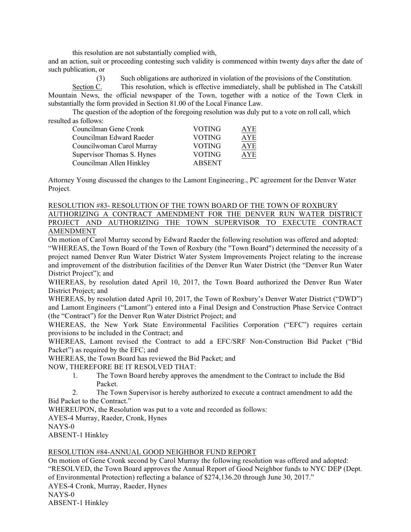this resolution are not substantially complied with,

and an action, suit or proceeding contesting such validity is commenced within twenty days after the date of such publication, or

(3) Such obligations are authorized in violation of the provisions of the Constitution.

Section C. This resolution, which is effective immediately, shall be published in The Catskill Mountain News, the official newspaper of the Town, together with a notice of the Town Clerk in substantially the form provided in Section 81.00 of the Local Finance Law.

The question of the adoption of the foregoing resolution was duly put to a vote on roll call, which resulted as follows:

| Councilman Gene Cronk      | VOTING        | AYE        |
|----------------------------|---------------|------------|
| Councilman Edward Raeder   | <b>VOTING</b> | AYE        |
| Councilwoman Carol Murray  | <b>VOTING</b> | <b>AYE</b> |
| Supervisor Thomas S. Hynes | VOTING        | AYE        |
| Councilman Allen Hinkley   | <b>ABSENT</b> |            |

Attorney Young discussed the changes to the Lamont Engineering., PC agreement for the Denver Water Project.

#### RESOLUTION #83- RESOLUTION OF THE TOWN BOARD OF THE TOWN OF ROXBURY

AUTHORIZING A CONTRACT AMENDMENT FOR THE DENVER RUN WATER DISTRICT PROJECT AND AUTHORIZING THE TOWN SUPERVISOR TO EXECUTE CONTRACT AMENDMENT

On motion of Carol Murray second by Edward Raeder the following resolution was offered and adopted:

"WHEREAS, the Town Board of the Town of Roxbury (the "Town Board") determined the necessity of a project named Denver Run Water District Water System Improvements Project relating to the increase and improvement of the distribution facilities of the Denver Run Water District (the "Denver Run Water District Project"); and

WHEREAS, by resolution dated April 10, 2017, the Town Board authorized the Denver Run Water District Project; and

WHEREAS, by resolution dated April 10, 2017, the Town of Roxbury's Denver Water District ("DWD") and Lamont Engineers ("Lamont") entered into a Final Design and Construction Phase Service Contract (the "Contract") for the Denver Run Water District Project; and

WHEREAS, the New York State Environmental Facilities Corporation ("EFC") requires certain provisions to be included in the Contract; and

WHEREAS, Lamont revised the Contract to add a EFC/SRF Non-Construction Bid Packet ("Bid Packet") as required by the EFC; and

WHEREAS, the Town Board has reviewed the Bid Packet; and

NOW, THEREFORE BE IT RESOLVED THAT:

1. The Town Board hereby approves the amendment to the Contract to include the Bid Packet.

2. The Town Supervisor is hereby authorized to execute a contract amendment to add the Bid Packet to the Contract."

WHEREUPON, the Resolution was put to a vote and recorded as follows:

AYES-4 Murray, Raeder, Cronk, Hynes

NAYS-0

ABSENT-1 Hinkley

## RESOLUTION #84-ANNUAL GOOD NEIGHBOR FUND REPORT

On motion of Gene Cronk second by Carol Murray the following resolution was offered and adopted: "RESOLVED, the Town Board approves the Annual Report of Good Neighbor funds to NYC DEP (Dept. of Environmental Protection) reflecting a balance of \$274,136.20 through June 30, 2017." AYES-4 Cronk, Murray, Raeder, Hynes NAYS-0 ABSENT-1 Hinkley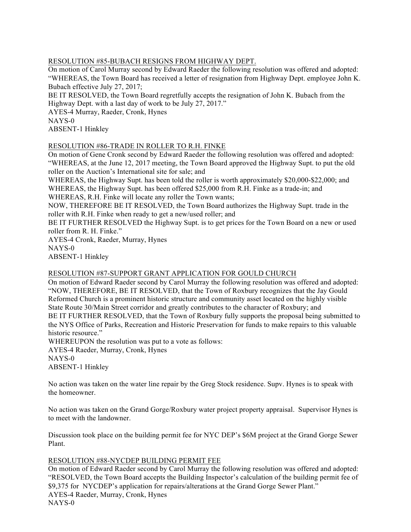# RESOLUTION #85-BUBACH RESIGNS FROM HIGHWAY DEPT.

On motion of Carol Murray second by Edward Raeder the following resolution was offered and adopted:

"WHEREAS, the Town Board has received a letter of resignation from Highway Dept. employee John K. Bubach effective July 27, 2017;

BE IT RESOLVED, the Town Board regretfully accepts the resignation of John K. Bubach from the Highway Dept. with a last day of work to be July 27, 2017."

AYES-4 Murray, Raeder, Cronk, Hynes NAYS-0

ABSENT-1 Hinkley

# RESOLUTION #86-TRADE IN ROLLER TO R.H. FINKE

On motion of Gene Cronk second by Edward Raeder the following resolution was offered and adopted: "WHEREAS, at the June 12, 2017 meeting, the Town Board approved the Highway Supt. to put the old roller on the Auction's International site for sale; and

WHEREAS, the Highway Supt. has been told the roller is worth approximately \$20,000-\$22,000; and WHEREAS, the Highway Supt. has been offered \$25,000 from R.H. Finke as a trade-in; and WHEREAS, R.H. Finke will locate any roller the Town wants;

NOW, THEREFORE BE IT RESOLVED, the Town Board authorizes the Highway Supt. trade in the

roller with R.H. Finke when ready to get a new/used roller; and

BE IT FURTHER RESOLVED the Highway Supt. is to get prices for the Town Board on a new or used roller from R. H. Finke."

AYES-4 Cronk, Raeder, Murray, Hynes NAYS-0

ABSENT-1 Hinkley

# RESOLUTION #87-SUPPORT GRANT APPLICATION FOR GOULD CHURCH

On motion of Edward Raeder second by Carol Murray the following resolution was offered and adopted: "NOW, THEREFORE, BE IT RESOLVED, that the Town of Roxbury recognizes that the Jay Gould Reformed Church is a prominent historic structure and community asset located on the highly visible State Route 30/Main Street corridor and greatly contributes to the character of Roxbury; and BE IT FURTHER RESOLVED, that the Town of Roxbury fully supports the proposal being submitted to the NYS Office of Parks, Recreation and Historic Preservation for funds to make repairs to this valuable historic resource."

WHEREUPON the resolution was put to a vote as follows: AYES-4 Raeder, Murray, Cronk, Hynes NAYS-0 ABSENT-1 Hinkley

No action was taken on the water line repair by the Greg Stock residence. Supv. Hynes is to speak with the homeowner.

No action was taken on the Grand Gorge/Roxbury water project property appraisal. Supervisor Hynes is to meet with the landowner.

Discussion took place on the building permit fee for NYC DEP's \$6M project at the Grand Gorge Sewer Plant.

## RESOLUTION #88-NYCDEP BUILDING PERMIT FEE

On motion of Edward Raeder second by Carol Murray the following resolution was offered and adopted: "RESOLVED, the Town Board accepts the Building Inspector's calculation of the building permit fee of \$9,375 for NYCDEP's application for repairs/alterations at the Grand Gorge Sewer Plant." AYES-4 Raeder, Murray, Cronk, Hynes NAYS-0